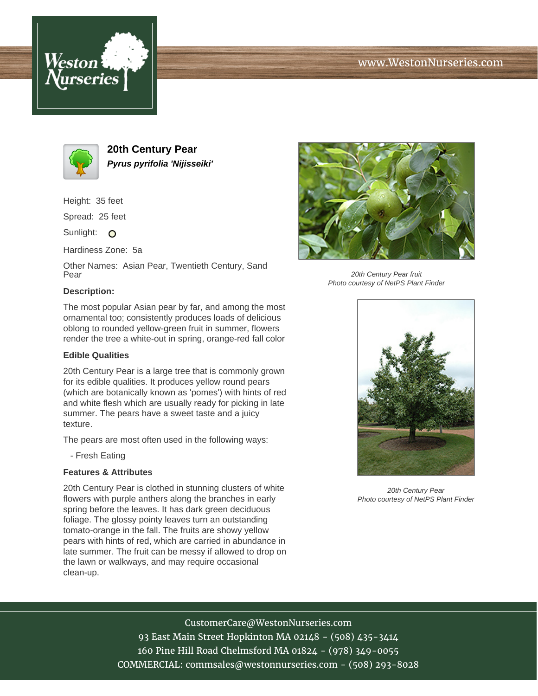





**20th Century Pear Pyrus pyrifolia 'Nijisseiki'**

Height: 35 feet

Spread: 25 feet

Sunlight: O

Hardiness Zone: 5a

Other Names: Asian Pear, Twentieth Century, Sand Pear

#### **Description:**

The most popular Asian pear by far, and among the most ornamental too; consistently produces loads of delicious oblong to rounded yellow-green fruit in summer, flowers render the tree a white-out in spring, orange-red fall color

### **Edible Qualities**

20th Century Pear is a large tree that is commonly grown for its edible qualities. It produces yellow round pears (which are botanically known as 'pomes') with hints of red and white flesh which are usually ready for picking in late summer. The pears have a sweet taste and a juicy texture.

The pears are most often used in the following ways:

- Fresh Eating

### **Features & Attributes**

20th Century Pear is clothed in stunning clusters of white flowers with purple anthers along the branches in early spring before the leaves. It has dark green deciduous foliage. The glossy pointy leaves turn an outstanding tomato-orange in the fall. The fruits are showy yellow pears with hints of red, which are carried in abundance in late summer. The fruit can be messy if allowed to drop on the lawn or walkways, and may require occasional clean-up.



20th Century Pear fruit Photo courtesy of NetPS Plant Finder



20th Century Pear Photo courtesy of NetPS Plant Finder

# CustomerCare@WestonNurseries.com

93 East Main Street Hopkinton MA 02148 - (508) 435-3414 160 Pine Hill Road Chelmsford MA 01824 - (978) 349-0055 COMMERCIAL: commsales@westonnurseries.com - (508) 293-8028